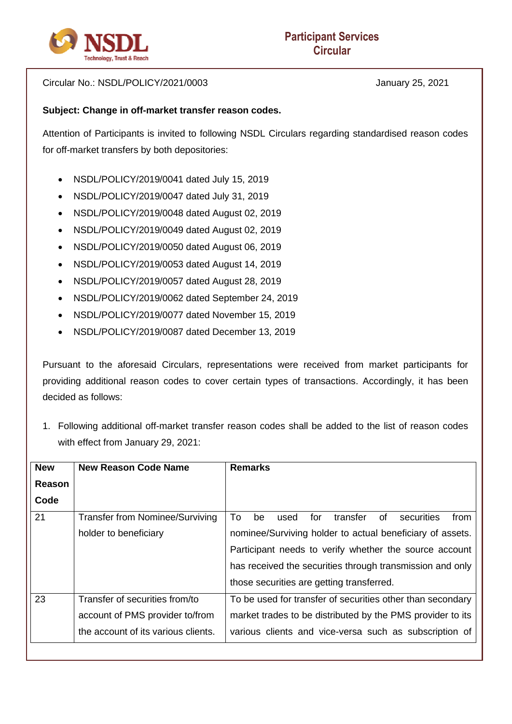

Circular No.: NSDL/POLICY/2021/0003 January 25, 2021

## **Subject: Change in off-market transfer reason codes.**

Attention of Participants is invited to following NSDL Circulars regarding standardised reason codes for off-market transfers by both depositories:

- NSDL/POLICY/2019/0041 dated July 15, 2019
- NSDL/POLICY/2019/0047 dated July 31, 2019
- NSDL/POLICY/2019/0048 dated August 02, 2019
- NSDL/POLICY/2019/0049 dated August 02, 2019
- NSDL/POLICY/2019/0050 dated August 06, 2019
- NSDL/POLICY/2019/0053 dated August 14, 2019
- NSDL/POLICY/2019/0057 dated August 28, 2019
- NSDL/POLICY/2019/0062 dated September 24, 2019
- NSDL/POLICY/2019/0077 dated November 15, 2019
- NSDL/POLICY/2019/0087 dated December 13, 2019

Pursuant to the aforesaid Circulars, representations were received from market participants for providing additional reason codes to cover certain types of transactions. Accordingly, it has been decided as follows:

1. Following additional off-market transfer reason codes shall be added to the list of reason codes with effect from January 29, 2021:

| <b>New</b>    | <b>New Reason Code Name</b>            | <b>Remarks</b>                                                  |  |  |
|---------------|----------------------------------------|-----------------------------------------------------------------|--|--|
| <b>Reason</b> |                                        |                                                                 |  |  |
| Code          |                                        |                                                                 |  |  |
| 21            | <b>Transfer from Nominee/Surviving</b> | Τo<br>for<br>transfer<br>securities<br>of<br>be<br>used<br>from |  |  |
|               | holder to beneficiary                  | nominee/Surviving holder to actual beneficiary of assets.       |  |  |
|               |                                        | Participant needs to verify whether the source account          |  |  |
|               |                                        | has received the securities through transmission and only       |  |  |
|               |                                        | those securities are getting transferred.                       |  |  |
| 23            | Transfer of securities from/to         | To be used for transfer of securities other than secondary      |  |  |
|               | account of PMS provider to/from        | market trades to be distributed by the PMS provider to its      |  |  |
|               | the account of its various clients.    | various clients and vice-versa such as subscription of          |  |  |
|               |                                        |                                                                 |  |  |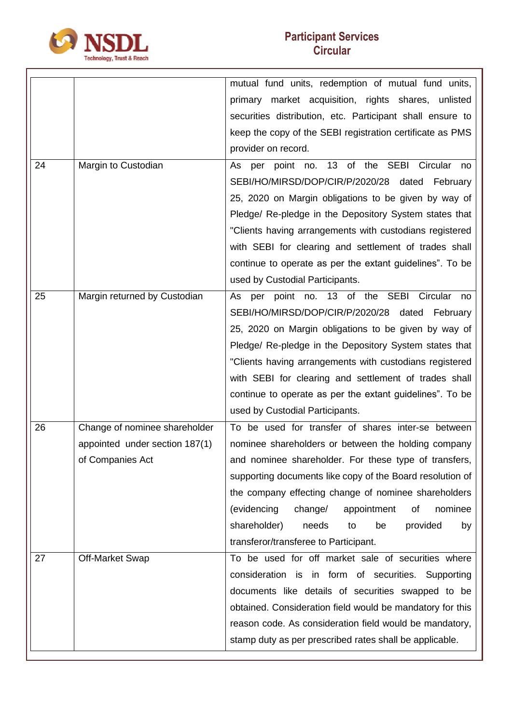

|    |                                | mutual fund units, redemption of mutual fund units,       |  |  |
|----|--------------------------------|-----------------------------------------------------------|--|--|
|    |                                | primary market acquisition, rights shares, unlisted       |  |  |
|    |                                | securities distribution, etc. Participant shall ensure to |  |  |
|    |                                | keep the copy of the SEBI registration certificate as PMS |  |  |
|    |                                | provider on record.                                       |  |  |
| 24 | Margin to Custodian            | As per point no. 13 of the SEBI Circular<br>no            |  |  |
|    |                                | SEBI/HO/MIRSD/DOP/CIR/P/2020/28<br>dated<br>February      |  |  |
|    |                                | 25, 2020 on Margin obligations to be given by way of      |  |  |
|    |                                | Pledge/ Re-pledge in the Depository System states that    |  |  |
|    |                                | "Clients having arrangements with custodians registered   |  |  |
|    |                                | with SEBI for clearing and settlement of trades shall     |  |  |
|    |                                | continue to operate as per the extant guidelines". To be  |  |  |
|    |                                | used by Custodial Participants.                           |  |  |
| 25 | Margin returned by Custodian   | per point no. 13 of the SEBI Circular<br>As<br>no         |  |  |
|    |                                | SEBI/HO/MIRSD/DOP/CIR/P/2020/28 dated<br>February         |  |  |
|    |                                | 25, 2020 on Margin obligations to be given by way of      |  |  |
|    |                                | Pledge/ Re-pledge in the Depository System states that    |  |  |
|    |                                | "Clients having arrangements with custodians registered   |  |  |
|    |                                | with SEBI for clearing and settlement of trades shall     |  |  |
|    |                                | continue to operate as per the extant guidelines". To be  |  |  |
|    |                                | used by Custodial Participants.                           |  |  |
| 26 | Change of nominee shareholder  | To be used for transfer of shares inter-se between        |  |  |
|    | appointed under section 187(1) | nominee shareholders or between the holding company       |  |  |
|    | of Companies Act               | and nominee shareholder. For these type of transfers,     |  |  |
|    |                                | supporting documents like copy of the Board resolution of |  |  |
|    |                                | the company effecting change of nominee shareholders      |  |  |
|    |                                | (evidencing<br>nominee<br>change/<br>appointment<br>of    |  |  |
|    |                                | shareholder)<br>needs<br>be<br>provided<br>to<br>by       |  |  |
|    |                                | transferor/transferee to Participant.                     |  |  |
| 27 | <b>Off-Market Swap</b>         | To be used for off market sale of securities where        |  |  |
|    |                                | consideration is in form of securities. Supporting        |  |  |
|    |                                | documents like details of securities swapped to be        |  |  |
|    |                                | obtained. Consideration field would be mandatory for this |  |  |
|    |                                | reason code. As consideration field would be mandatory,   |  |  |
|    |                                | stamp duty as per prescribed rates shall be applicable.   |  |  |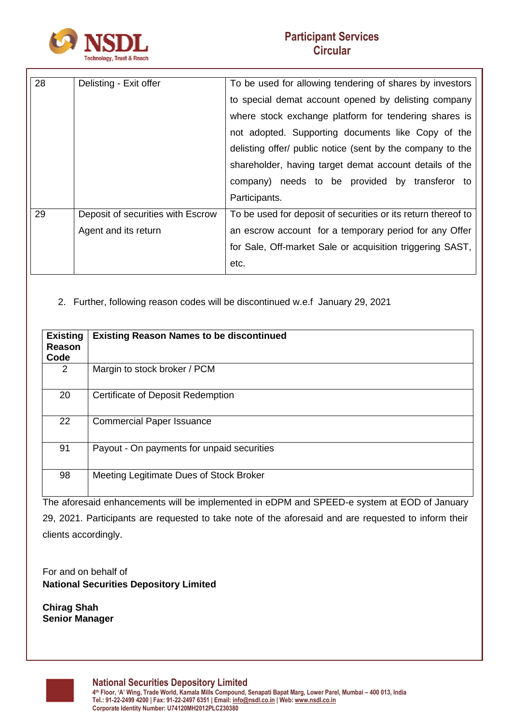

| 28 | Delisting - Exit offer            | To be used for allowing tendering of shares by investors      |
|----|-----------------------------------|---------------------------------------------------------------|
|    |                                   | to special demat account opened by delisting company          |
|    |                                   | where stock exchange platform for tendering shares is         |
|    |                                   | not adopted. Supporting documents like Copy of the            |
|    |                                   | delisting offer/ public notice (sent by the company to the    |
|    |                                   | shareholder, having target demat account details of the       |
|    |                                   | company) needs to be provided by transferor to                |
|    |                                   | Participants.                                                 |
| 29 | Deposit of securities with Escrow | To be used for deposit of securities or its return thereof to |
|    | Agent and its return              | an escrow account for a temporary period for any Offer        |
|    |                                   | for Sale, Off-market Sale or acquisition triggering SAST,     |
|    |                                   | etc.                                                          |

## 2. Further, following reason codes will be discontinued w.e.f January 29, 2021

| <b>Existing</b><br>Reason<br>Code | <b>Existing Reason Names to be discontinued</b> |
|-----------------------------------|-------------------------------------------------|
| 2                                 | Margin to stock broker / PCM                    |
| 20                                | Certificate of Deposit Redemption               |
| 22                                | <b>Commercial Paper Issuance</b>                |
| 91                                | Payout - On payments for unpaid securities      |
| 98                                | Meeting Legitimate Dues of Stock Broker         |

The aforesaid enhancements will be implemented in eDPM and SPEED-e system at EOD of January 29, 2021. Participants are requested to take note of the aforesaid and are requested to inform their clients accordingly.

For and on behalf of **National Securities Depository Limited**

**Chirag Shah Senior Manager**